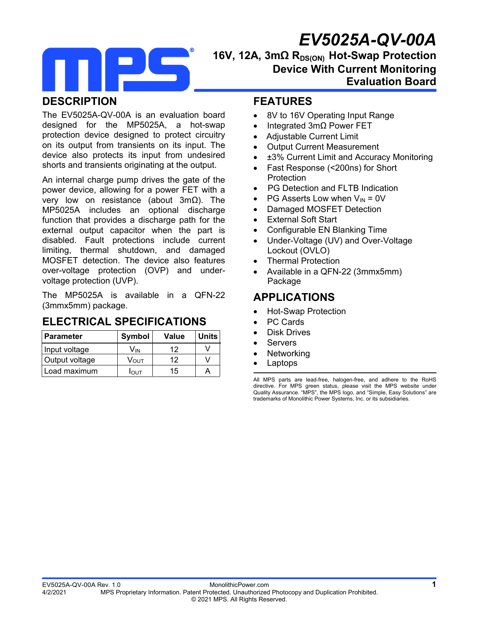# *EV5025A-QV-00A*



# 16V, 12A, 3mΩ R<sub>DS(ON)</sub> Hot-Swap Protection **Device With Current Monitoring Evaluation Board**

## **DESCRIPTION**

The EV5025A-QV-00A is an evaluation board designed for the MP5025A, a hot-swap protection device designed to protect circuitry on its output from transients on its input. The device also protects its input from undesired shorts and transients originating at the output.

An internal charge pump drives the gate of the power device, allowing for a power FET with a very low on resistance (about 3mΩ). The MP5025A includes an optional discharge function that provides a discharge path for the external output capacitor when the part is disabled. Fault protections include current limiting, thermal shutdown, and damaged MOSFET detection. The device also features over-voltage protection (OVP) and undervoltage protection (UVP).

The MP5025A is available in a QFN-22 (3mmx5mm) package.

#### **ELECTRICAL SPECIFICATIONS**

| l Parameter    | Symbol       | Value | <b>Units</b> |
|----------------|--------------|-------|--------------|
| Input voltage  | Vın          | 12    |              |
| Output voltage | Vουτ         | 12    |              |
| Load maximum   | <b>I</b> OUT | 15    |              |

#### **FEATURES**

- 8V to 16V Operating Input Range
- Integrated 3mΩ Power FET
- Adjustable Current Limit
- Output Current Measurement
- ±3% Current Limit and Accuracy Monitoring
- Fast Response (<200ns) for Short **Protection**
- PG Detection and FLTB Indication
- PG Asserts Low when  $V_{IN} = 0V$
- Damaged MOSFET Detection
- External Soft Start
- Configurable EN Blanking Time
- Under-Voltage (UV) and Over-Voltage Lockout (OVLO)
- Thermal Protection
- Available in a QFN-22 (3mmx5mm) Package

## **APPLICATIONS**

- Hot-Swap Protection
- PC Cards
- Disk Drives
- Servers
- Networking
- Laptops

All MPS parts are lead-free, halogen-free, and adhere to the RoHS directive. For MPS green status, please visit the MPS website under Quality Assurance. "MPS", the MPS logo, and "Simple, Easy Solutions" are trademarks of Monolithic Power Systems, Inc. or its subsidiaries.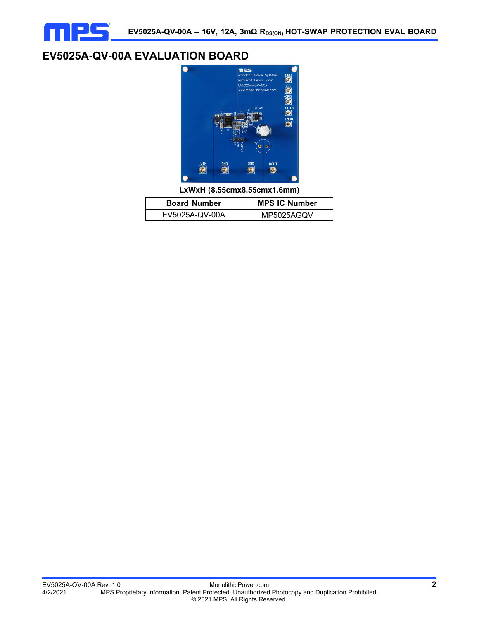

## **EV5025A-QV-00A EVALUATION BOARD**



**LxWxH (8.55cmx8.55cmx1.6mm)**

| <b>Board Number</b> | <b>MPS IC Number</b> |  |  |
|---------------------|----------------------|--|--|
| EV5025A-QV-00A      | MP5025AGQV           |  |  |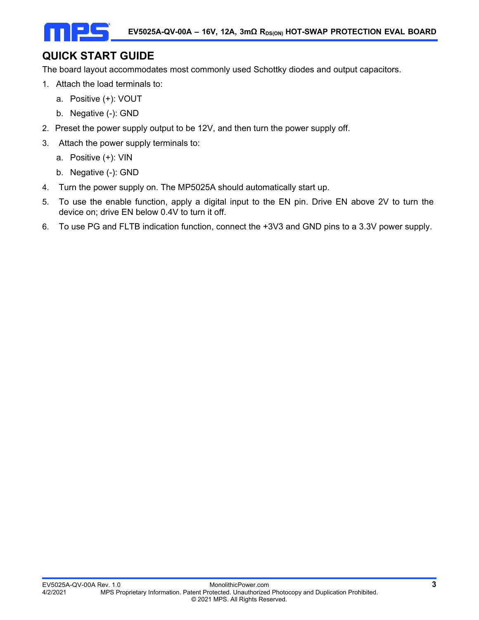# **QUICK START GUIDE**

The board layout accommodates most commonly used Schottky diodes and output capacitors.

- 1. Attach the load terminals to:
	- a. Positive (+): VOUT
	- b. Negative (-): GND
- 2. Preset the power supply output to be 12V, and then turn the power supply off.
- 3. Attach the power supply terminals to:
	- a. Positive (+): VIN
	- b. Negative (-): GND
- 4. Turn the power supply on. The MP5025A should automatically start up.
- 5. To use the enable function, apply a digital input to the EN pin. Drive EN above 2V to turn the device on; drive EN below 0.4V to turn it off.
- 6. To use PG and FLTB indication function, connect the +3V3 and GND pins to a 3.3V power supply.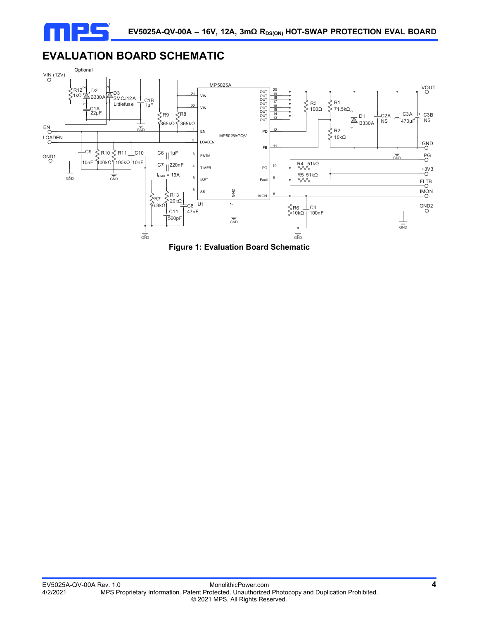

# **EVALUATION BOARD SCHEMATIC**



**Figure 1: Evaluation Board Schematic**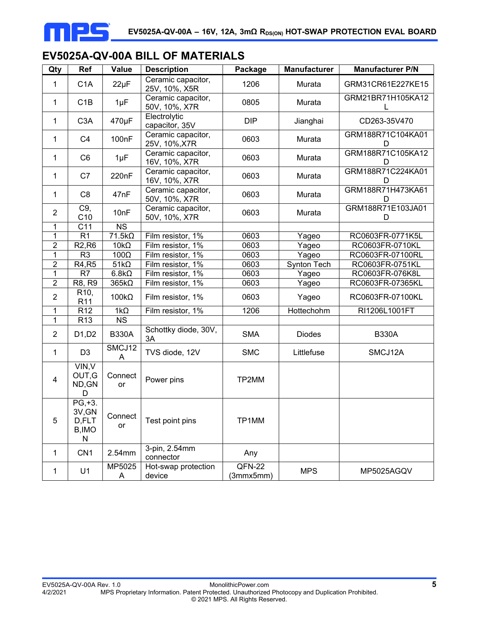

# **EV5025A-QV-00A BILL OF MATERIALS**

| Qty                            | Ref                                         | <b>Value</b>                   | <b>Description</b>                  | Package               | <b>Manufacturer</b> | <b>Manufacturer P/N</b> |
|--------------------------------|---------------------------------------------|--------------------------------|-------------------------------------|-----------------------|---------------------|-------------------------|
| 1                              | C <sub>1</sub> A                            | $22\mu F$                      | Ceramic capacitor,<br>25V, 10%, X5R | 1206                  | Murata              | GRM31CR61E227KE15       |
| 1                              | C1B<br>$1\mu F$                             |                                | Ceramic capacitor,<br>50V, 10%, X7R | 0805                  | Murata              | GRM21BR71H105KA12       |
| C <sub>3</sub> A<br>470µF<br>1 |                                             | Electrolytic<br>capacitor, 35V | <b>DIP</b>                          | Jianghai              | CD263-35V470        |                         |
| 1                              | 100nF<br>C <sub>4</sub>                     |                                | Ceramic capacitor,<br>25V, 10%, X7R | 0603                  | Murata              | GRM188R71C104KA01<br>D  |
| 1                              | C <sub>6</sub>                              | $1\mu F$                       | Ceramic capacitor,<br>16V, 10%, X7R | 0603                  | Murata              | GRM188R71C105KA12<br>D  |
| C7<br>220nF<br>1               |                                             |                                | Ceramic capacitor,<br>16V, 10%, X7R | 0603                  | Murata              | GRM188R71C224KA01<br>D  |
| 1                              | C <sub>8</sub>                              | 47nF                           | Ceramic capacitor,<br>50V, 10%, X7R | 0603                  | Murata              | GRM188R71H473KA61<br>D  |
| $\overline{2}$                 | C9,<br>C10                                  | 10nF                           | Ceramic capacitor,<br>50V, 10%, X7R | 0603                  | Murata              | GRM188R71E103JA01<br>D  |
| 1                              | C <sub>11</sub>                             | <b>NS</b>                      |                                     |                       |                     |                         |
| 1                              | R <sub>1</sub>                              | $71.5k\Omega$                  | Film resistor, 1%                   | 0603                  | Yageo               | RC0603FR-0771K5L        |
| $\overline{2}$                 | R <sub>2</sub> , R <sub>6</sub>             | $10k\Omega$                    | Film resistor, 1%                   | 0603                  | Yageo               | RC0603FR-0710KL         |
| $\mathbf 1$                    | R <sub>3</sub>                              | $100\Omega$                    | Film resistor, 1%                   | 0603                  | Yageo               | RC0603FR-07100RL        |
| $\boldsymbol{2}$               | R4, R5                                      | $51k\Omega$                    | Film resistor, 1%                   | 0603                  | Synton Tech         | RC0603FR-0751KL         |
| $\mathbf{1}$                   | R7                                          | $6.8k\Omega$                   | Film resistor, 1%                   | 0603                  | Yageo               | RC0603FR-076K8L         |
| $\overline{2}$                 | R8, R9                                      | $365k\Omega$                   | Film resistor, 1%                   | 0603                  | Yageo               | RC0603FR-07365KL        |
| $\overline{2}$                 | R <sub>10</sub> ,<br>R <sub>11</sub>        | $100k\Omega$                   | Film resistor, 1%                   | 0603                  | Yageo               | RC0603FR-07100KL        |
| 1                              | R <sub>12</sub>                             | $1k\Omega$                     | Film resistor, 1%                   | 1206                  | Hottechohm          | RI1206L1001FT           |
| 1                              | R13                                         | $\overline{\text{NS}}$         |                                     |                       |                     |                         |
| $\overline{2}$                 | D1,D2                                       | <b>B330A</b>                   | Schottky diode, 30V,<br>3A          | <b>SMA</b>            | <b>Diodes</b>       | <b>B330A</b>            |
| 1                              | D <sub>3</sub>                              | SMCJ12<br>Α                    | TVS diode, 12V                      | <b>SMC</b>            | Littlefuse          | SMCJ12A                 |
| 4                              | VIN, V<br>OUT, G<br>ND, GN<br>D             | Connect<br>or                  | Power pins                          | TP2MM                 |                     |                         |
| 5                              | $PG, +3.$<br>3V, GN<br>D,FLT<br>B, IMO<br>N | Connect<br>or                  | Test point pins                     | TP1MM                 |                     |                         |
| 1                              | CN <sub>1</sub>                             | 2.54mm                         | 3-pin, 2.54mm<br>connector          | Any                   |                     |                         |
| $\mathbf{1}$                   | U1                                          | MP5025<br>A                    | Hot-swap protection<br>device       | $QFN-22$<br>(3mmx5mm) | <b>MPS</b>          | MP5025AGQV              |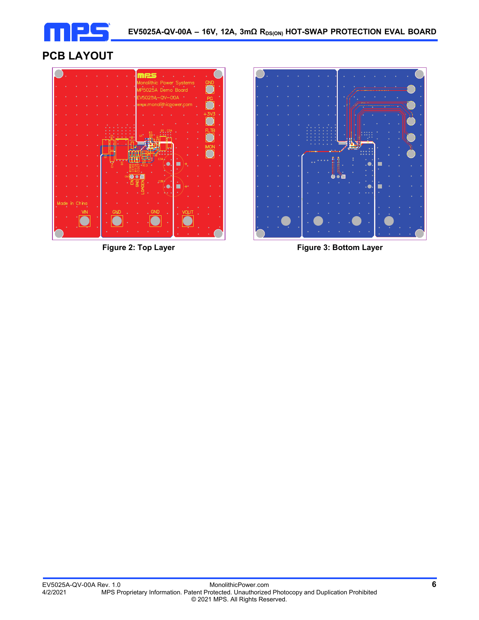

# **PCB LAYOUT**





**Figure 2: Top Layer**  Figure 3: Bottom Layer